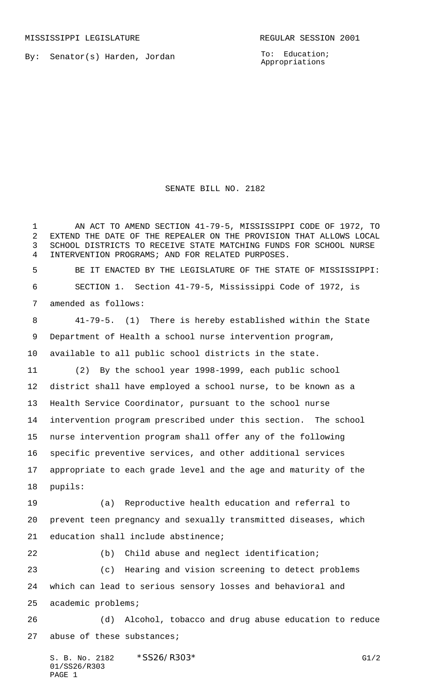By: Senator(s) Harden, Jordan

To: Education; Appropriations

SENATE BILL NO. 2182

 AN ACT TO AMEND SECTION 41-79-5, MISSISSIPPI CODE OF 1972, TO EXTEND THE DATE OF THE REPEALER ON THE PROVISION THAT ALLOWS LOCAL SCHOOL DISTRICTS TO RECEIVE STATE MATCHING FUNDS FOR SCHOOL NURSE INTERVENTION PROGRAMS; AND FOR RELATED PURPOSES.

 BE IT ENACTED BY THE LEGISLATURE OF THE STATE OF MISSISSIPPI: SECTION 1. Section 41-79-5, Mississippi Code of 1972, is amended as follows:

 41-79-5. (1) There is hereby established within the State Department of Health a school nurse intervention program, available to all public school districts in the state.

 (2) By the school year 1998-1999, each public school district shall have employed a school nurse, to be known as a Health Service Coordinator, pursuant to the school nurse intervention program prescribed under this section. The school nurse intervention program shall offer any of the following specific preventive services, and other additional services appropriate to each grade level and the age and maturity of the pupils:

 (a) Reproductive health education and referral to prevent teen pregnancy and sexually transmitted diseases, which education shall include abstinence;

(b) Child abuse and neglect identification;

 (c) Hearing and vision screening to detect problems which can lead to serious sensory losses and behavioral and academic problems;

 (d) Alcohol, tobacco and drug abuse education to reduce 27 abuse of these substances;

S. B. No. 2182 \* SS26/R303\* G1/2 01/SS26/R303 PAGE 1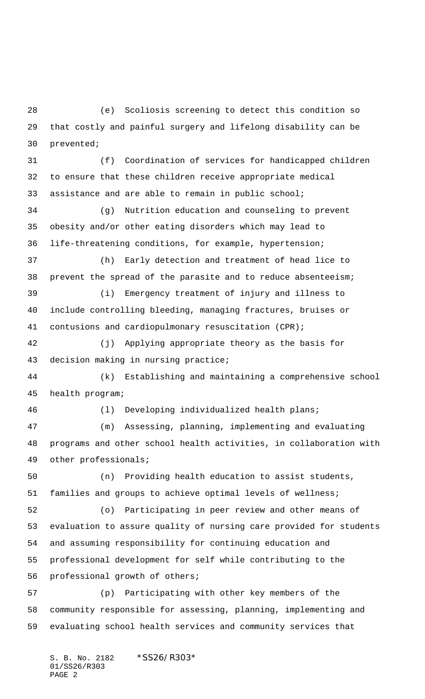(e) Scoliosis screening to detect this condition so that costly and painful surgery and lifelong disability can be prevented;

 (f) Coordination of services for handicapped children to ensure that these children receive appropriate medical assistance and are able to remain in public school;

 (g) Nutrition education and counseling to prevent obesity and/or other eating disorders which may lead to life-threatening conditions, for example, hypertension;

 (h) Early detection and treatment of head lice to prevent the spread of the parasite and to reduce absenteeism;

 (i) Emergency treatment of injury and illness to include controlling bleeding, managing fractures, bruises or contusions and cardiopulmonary resuscitation (CPR);

 (j) Applying appropriate theory as the basis for decision making in nursing practice;

 (k) Establishing and maintaining a comprehensive school health program;

(l) Developing individualized health plans;

 (m) Assessing, planning, implementing and evaluating programs and other school health activities, in collaboration with other professionals;

 (n) Providing health education to assist students, families and groups to achieve optimal levels of wellness;

 (o) Participating in peer review and other means of evaluation to assure quality of nursing care provided for students and assuming responsibility for continuing education and professional development for self while contributing to the professional growth of others;

 (p) Participating with other key members of the community responsible for assessing, planning, implementing and evaluating school health services and community services that

S. B. No. 2182 \*SS26/R303\* 01/SS26/R303 PAGE 2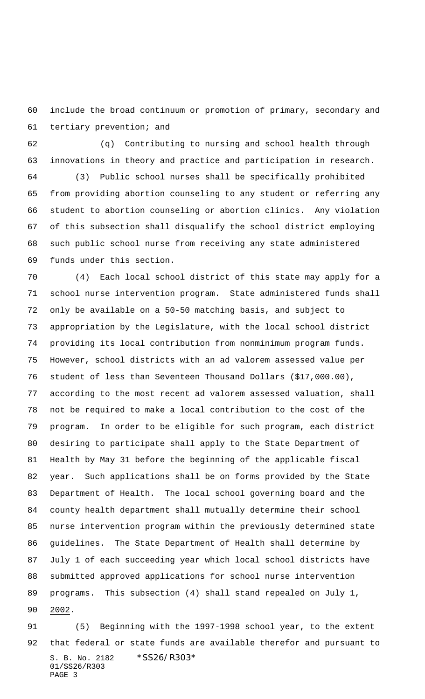include the broad continuum or promotion of primary, secondary and tertiary prevention; and

 (q) Contributing to nursing and school health through innovations in theory and practice and participation in research.

 (3) Public school nurses shall be specifically prohibited from providing abortion counseling to any student or referring any student to abortion counseling or abortion clinics. Any violation of this subsection shall disqualify the school district employing such public school nurse from receiving any state administered funds under this section.

 (4) Each local school district of this state may apply for a school nurse intervention program. State administered funds shall only be available on a 50-50 matching basis, and subject to appropriation by the Legislature, with the local school district providing its local contribution from nonminimum program funds. However, school districts with an ad valorem assessed value per student of less than Seventeen Thousand Dollars (\$17,000.00), according to the most recent ad valorem assessed valuation, shall not be required to make a local contribution to the cost of the program. In order to be eligible for such program, each district desiring to participate shall apply to the State Department of Health by May 31 before the beginning of the applicable fiscal year. Such applications shall be on forms provided by the State Department of Health. The local school governing board and the county health department shall mutually determine their school nurse intervention program within the previously determined state guidelines. The State Department of Health shall determine by July 1 of each succeeding year which local school districts have submitted approved applications for school nurse intervention programs. This subsection (4) shall stand repealed on July 1, 2002.

S. B. No. 2182 \* SS26/R303\* 01/SS26/R303 PAGE 3 (5) Beginning with the 1997-1998 school year, to the extent that federal or state funds are available therefor and pursuant to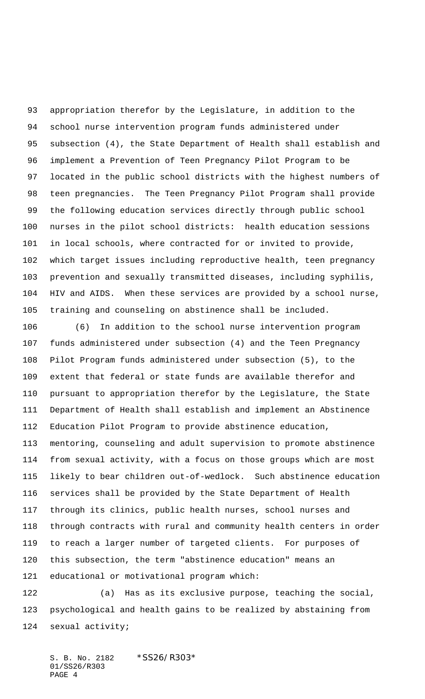appropriation therefor by the Legislature, in addition to the school nurse intervention program funds administered under subsection (4), the State Department of Health shall establish and implement a Prevention of Teen Pregnancy Pilot Program to be located in the public school districts with the highest numbers of teen pregnancies. The Teen Pregnancy Pilot Program shall provide the following education services directly through public school nurses in the pilot school districts: health education sessions in local schools, where contracted for or invited to provide, which target issues including reproductive health, teen pregnancy prevention and sexually transmitted diseases, including syphilis, HIV and AIDS. When these services are provided by a school nurse, training and counseling on abstinence shall be included.

 (6) In addition to the school nurse intervention program funds administered under subsection (4) and the Teen Pregnancy Pilot Program funds administered under subsection (5), to the extent that federal or state funds are available therefor and pursuant to appropriation therefor by the Legislature, the State Department of Health shall establish and implement an Abstinence Education Pilot Program to provide abstinence education, mentoring, counseling and adult supervision to promote abstinence from sexual activity, with a focus on those groups which are most likely to bear children out-of-wedlock. Such abstinence education services shall be provided by the State Department of Health through its clinics, public health nurses, school nurses and through contracts with rural and community health centers in order to reach a larger number of targeted clients. For purposes of this subsection, the term "abstinence education" means an educational or motivational program which:

 (a) Has as its exclusive purpose, teaching the social, psychological and health gains to be realized by abstaining from sexual activity;

S. B. No. 2182 \*SS26/R303\* 01/SS26/R303 PAGE 4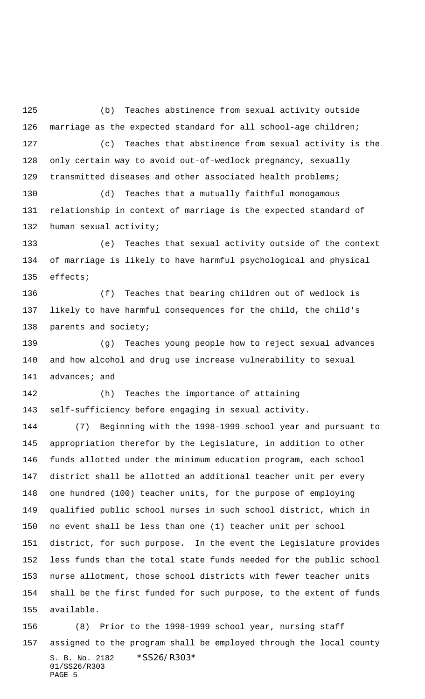(b) Teaches abstinence from sexual activity outside marriage as the expected standard for all school-age children; (c) Teaches that abstinence from sexual activity is the only certain way to avoid out-of-wedlock pregnancy, sexually transmitted diseases and other associated health problems;

 (d) Teaches that a mutually faithful monogamous relationship in context of marriage is the expected standard of human sexual activity;

 (e) Teaches that sexual activity outside of the context of marriage is likely to have harmful psychological and physical effects;

 (f) Teaches that bearing children out of wedlock is likely to have harmful consequences for the child, the child's parents and society;

 (g) Teaches young people how to reject sexual advances and how alcohol and drug use increase vulnerability to sexual 141 advances; and

 (h) Teaches the importance of attaining self-sufficiency before engaging in sexual activity.

 (7) Beginning with the 1998-1999 school year and pursuant to appropriation therefor by the Legislature, in addition to other funds allotted under the minimum education program, each school district shall be allotted an additional teacher unit per every one hundred (100) teacher units, for the purpose of employing qualified public school nurses in such school district, which in no event shall be less than one (1) teacher unit per school district, for such purpose. In the event the Legislature provides less funds than the total state funds needed for the public school nurse allotment, those school districts with fewer teacher units shall be the first funded for such purpose, to the extent of funds available.

S. B. No. 2182 \*SS26/R303\* 01/SS26/R303 PAGE 5 (8) Prior to the 1998-1999 school year, nursing staff assigned to the program shall be employed through the local county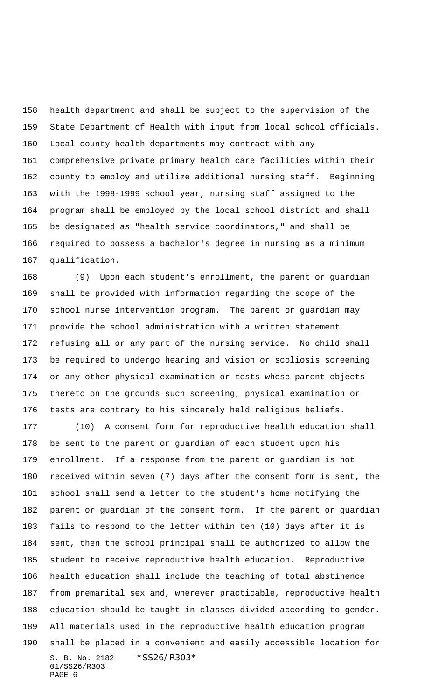health department and shall be subject to the supervision of the State Department of Health with input from local school officials. Local county health departments may contract with any comprehensive private primary health care facilities within their county to employ and utilize additional nursing staff. Beginning with the 1998-1999 school year, nursing staff assigned to the program shall be employed by the local school district and shall be designated as "health service coordinators," and shall be required to possess a bachelor's degree in nursing as a minimum qualification.

 (9) Upon each student's enrollment, the parent or guardian shall be provided with information regarding the scope of the school nurse intervention program. The parent or guardian may provide the school administration with a written statement refusing all or any part of the nursing service. No child shall be required to undergo hearing and vision or scoliosis screening or any other physical examination or tests whose parent objects thereto on the grounds such screening, physical examination or tests are contrary to his sincerely held religious beliefs.

S. B. No. 2182 \* SS26/R303\* 01/SS26/R303 PAGE 6 (10) A consent form for reproductive health education shall be sent to the parent or guardian of each student upon his enrollment. If a response from the parent or guardian is not received within seven (7) days after the consent form is sent, the school shall send a letter to the student's home notifying the parent or guardian of the consent form. If the parent or guardian fails to respond to the letter within ten (10) days after it is sent, then the school principal shall be authorized to allow the student to receive reproductive health education. Reproductive health education shall include the teaching of total abstinence from premarital sex and, wherever practicable, reproductive health education should be taught in classes divided according to gender. All materials used in the reproductive health education program shall be placed in a convenient and easily accessible location for